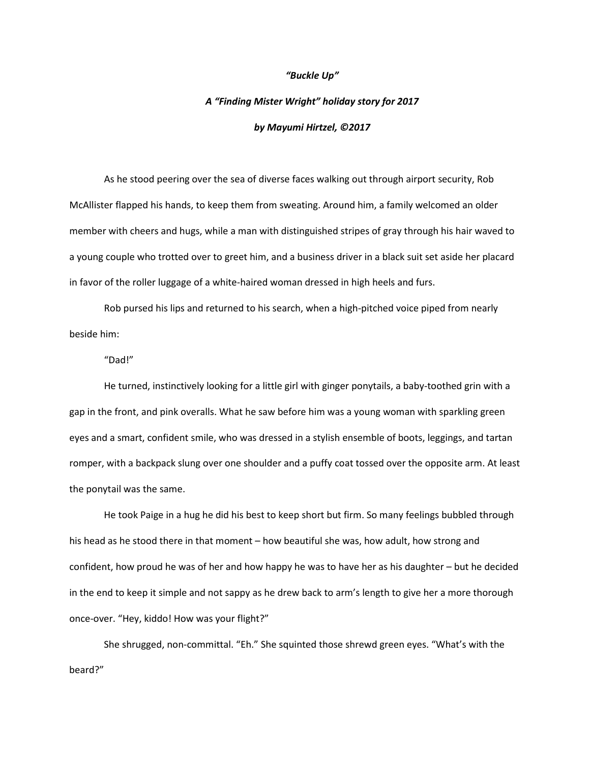## *"Buckle Up"*

## *A "Finding Mister Wright" holiday story for 2017 by Mayumi Hirtzel, ©2017*

As he stood peering over the sea of diverse faces walking out through airport security, Rob McAllister flapped his hands, to keep them from sweating. Around him, a family welcomed an older member with cheers and hugs, while a man with distinguished stripes of gray through his hair waved to a young couple who trotted over to greet him, and a business driver in a black suit set aside her placard in favor of the roller luggage of a white-haired woman dressed in high heels and furs.

Rob pursed his lips and returned to his search, when a high-pitched voice piped from nearly beside him:

"Dad!"

He turned, instinctively looking for a little girl with ginger ponytails, a baby-toothed grin with a gap in the front, and pink overalls. What he saw before him was a young woman with sparkling green eyes and a smart, confident smile, who was dressed in a stylish ensemble of boots, leggings, and tartan romper, with a backpack slung over one shoulder and a puffy coat tossed over the opposite arm. At least the ponytail was the same.

He took Paige in a hug he did his best to keep short but firm. So many feelings bubbled through his head as he stood there in that moment – how beautiful she was, how adult, how strong and confident, how proud he was of her and how happy he was to have her as his daughter – but he decided in the end to keep it simple and not sappy as he drew back to arm's length to give her a more thorough once-over. "Hey, kiddo! How was your flight?"

She shrugged, non-committal. "Eh." She squinted those shrewd green eyes. "What's with the beard?"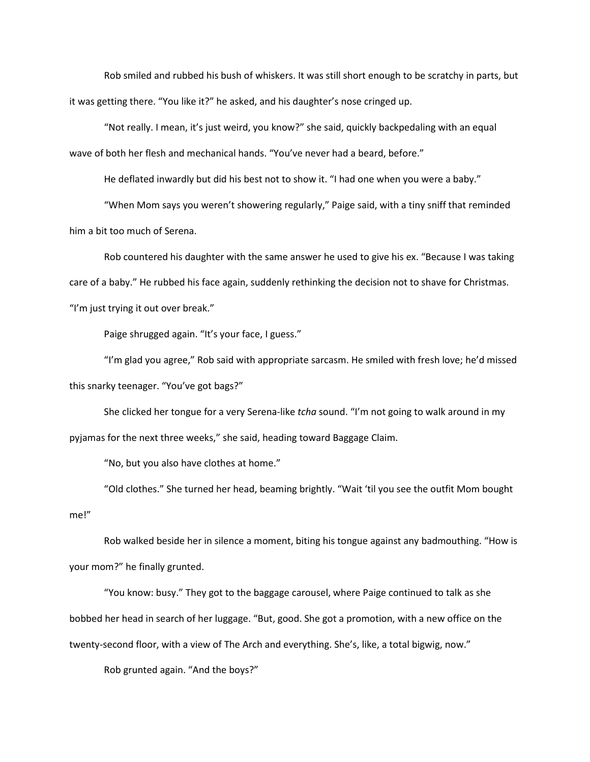Rob smiled and rubbed his bush of whiskers. It was still short enough to be scratchy in parts, but it was getting there. "You like it?" he asked, and his daughter's nose cringed up.

"Not really. I mean, it's just weird, you know?" she said, quickly backpedaling with an equal wave of both her flesh and mechanical hands. "You've never had a beard, before."

He deflated inwardly but did his best not to show it. "I had one when you were a baby."

"When Mom says you weren't showering regularly," Paige said, with a tiny sniff that reminded him a bit too much of Serena.

Rob countered his daughter with the same answer he used to give his ex. "Because I was taking care of a baby." He rubbed his face again, suddenly rethinking the decision not to shave for Christmas. "I'm just trying it out over break."

Paige shrugged again. "It's your face, I guess."

"I'm glad you agree," Rob said with appropriate sarcasm. He smiled with fresh love; he'd missed this snarky teenager. "You've got bags?"

She clicked her tongue for a very Serena-like *tcha* sound. "I'm not going to walk around in my pyjamas for the next three weeks," she said, heading toward Baggage Claim.

"No, but you also have clothes at home."

"Old clothes." She turned her head, beaming brightly. "Wait 'til you see the outfit Mom bought me!"

Rob walked beside her in silence a moment, biting his tongue against any badmouthing. "How is your mom?" he finally grunted.

"You know: busy." They got to the baggage carousel, where Paige continued to talk as she bobbed her head in search of her luggage. "But, good. She got a promotion, with a new office on the twenty-second floor, with a view of The Arch and everything. She's, like, a total bigwig, now."

Rob grunted again. "And the boys?"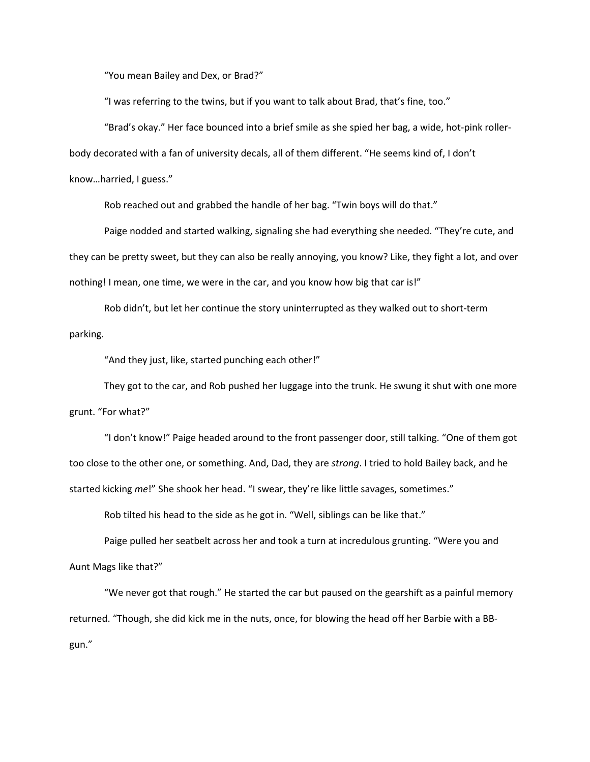"You mean Bailey and Dex, or Brad?"

"I was referring to the twins, but if you want to talk about Brad, that's fine, too."

"Brad's okay." Her face bounced into a brief smile as she spied her bag, a wide, hot-pink roller-

body decorated with a fan of university decals, all of them different. "He seems kind of, I don't

know…harried, I guess."

Rob reached out and grabbed the handle of her bag. "Twin boys will do that."

Paige nodded and started walking, signaling she had everything she needed. "They're cute, and they can be pretty sweet, but they can also be really annoying, you know? Like, they fight a lot, and over nothing! I mean, one time, we were in the car, and you know how big that car is!"

Rob didn't, but let her continue the story uninterrupted as they walked out to short-term parking.

"And they just, like, started punching each other!"

They got to the car, and Rob pushed her luggage into the trunk. He swung it shut with one more grunt. "For what?"

"I don't know!" Paige headed around to the front passenger door, still talking. "One of them got too close to the other one, or something. And, Dad, they are *strong*. I tried to hold Bailey back, and he started kicking *me*!" She shook her head. "I swear, they're like little savages, sometimes."

Rob tilted his head to the side as he got in. "Well, siblings can be like that."

Paige pulled her seatbelt across her and took a turn at incredulous grunting. "Were you and Aunt Mags like that?"

"We never got that rough." He started the car but paused on the gearshift as a painful memory returned. "Though, she did kick me in the nuts, once, for blowing the head off her Barbie with a BBgun."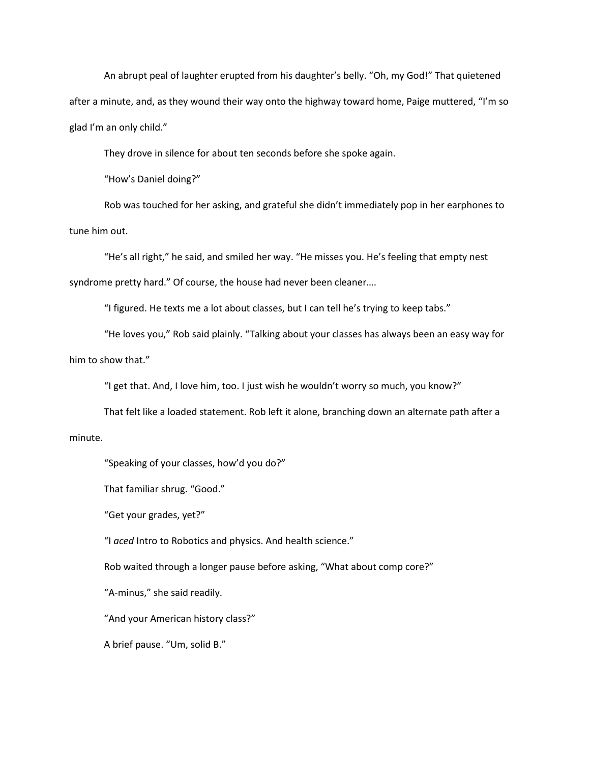An abrupt peal of laughter erupted from his daughter's belly. "Oh, my God!" That quietened after a minute, and, as they wound their way onto the highway toward home, Paige muttered, "I'm so glad I'm an only child."

They drove in silence for about ten seconds before she spoke again.

"How's Daniel doing?"

Rob was touched for her asking, and grateful she didn't immediately pop in her earphones to tune him out.

"He's all right," he said, and smiled her way. "He misses you. He's feeling that empty nest syndrome pretty hard." Of course, the house had never been cleaner….

"I figured. He texts me a lot about classes, but I can tell he's trying to keep tabs."

"He loves you," Rob said plainly. "Talking about your classes has always been an easy way for him to show that."

"I get that. And, I love him, too. I just wish he wouldn't worry so much, you know?"

That felt like a loaded statement. Rob left it alone, branching down an alternate path after a

## minute.

"Speaking of your classes, how'd you do?"

That familiar shrug. "Good."

"Get your grades, yet?"

"I *aced* Intro to Robotics and physics. And health science."

Rob waited through a longer pause before asking, "What about comp core?"

"A-minus," she said readily.

"And your American history class?"

A brief pause. "Um, solid B."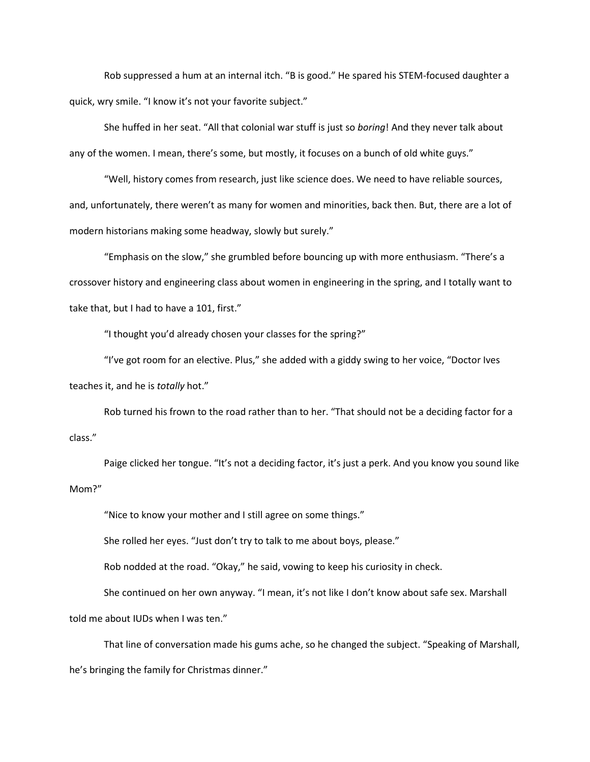Rob suppressed a hum at an internal itch. "B is good." He spared his STEM-focused daughter a quick, wry smile. "I know it's not your favorite subject."

She huffed in her seat. "All that colonial war stuff is just so *boring*! And they never talk about any of the women. I mean, there's some, but mostly, it focuses on a bunch of old white guys."

"Well, history comes from research, just like science does. We need to have reliable sources, and, unfortunately, there weren't as many for women and minorities, back then. But, there are a lot of modern historians making some headway, slowly but surely."

"Emphasis on the slow," she grumbled before bouncing up with more enthusiasm. "There's a crossover history and engineering class about women in engineering in the spring, and I totally want to take that, but I had to have a 101, first."

"I thought you'd already chosen your classes for the spring?"

"I've got room for an elective. Plus," she added with a giddy swing to her voice, "Doctor Ives teaches it, and he is *totally* hot."

Rob turned his frown to the road rather than to her. "That should not be a deciding factor for a class."

Paige clicked her tongue. "It's not a deciding factor, it's just a perk. And you know you sound like Mom?"

"Nice to know your mother and I still agree on some things."

She rolled her eyes. "Just don't try to talk to me about boys, please."

Rob nodded at the road. "Okay," he said, vowing to keep his curiosity in check.

She continued on her own anyway. "I mean, it's not like I don't know about safe sex. Marshall told me about IUDs when I was ten."

That line of conversation made his gums ache, so he changed the subject. "Speaking of Marshall, he's bringing the family for Christmas dinner."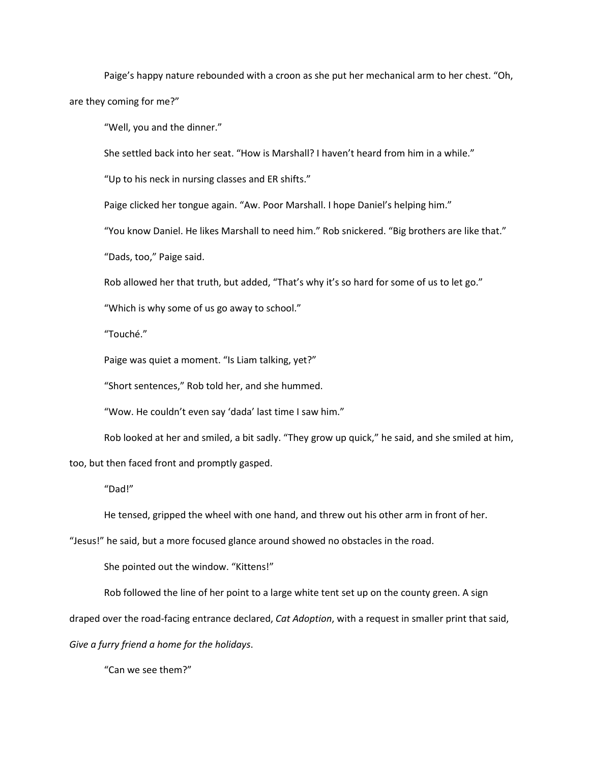Paige's happy nature rebounded with a croon as she put her mechanical arm to her chest. "Oh, are they coming for me?"

"Well, you and the dinner."

She settled back into her seat. "How is Marshall? I haven't heard from him in a while."

"Up to his neck in nursing classes and ER shifts."

Paige clicked her tongue again. "Aw. Poor Marshall. I hope Daniel's helping him."

"You know Daniel. He likes Marshall to need him." Rob snickered. "Big brothers are like that."

"Dads, too," Paige said.

Rob allowed her that truth, but added, "That's why it's so hard for some of us to let go."

"Which is why some of us go away to school."

"Touché."

Paige was quiet a moment. "Is Liam talking, yet?"

"Short sentences," Rob told her, and she hummed.

"Wow. He couldn't even say 'dada' last time I saw him."

Rob looked at her and smiled, a bit sadly. "They grow up quick," he said, and she smiled at him,

too, but then faced front and promptly gasped.

"Dad!"

He tensed, gripped the wheel with one hand, and threw out his other arm in front of her.

"Jesus!" he said, but a more focused glance around showed no obstacles in the road.

She pointed out the window. "Kittens!"

Rob followed the line of her point to a large white tent set up on the county green. A sign

draped over the road-facing entrance declared, *Cat Adoption*, with a request in smaller print that said,

*Give a furry friend a home for the holidays*.

"Can we see them?"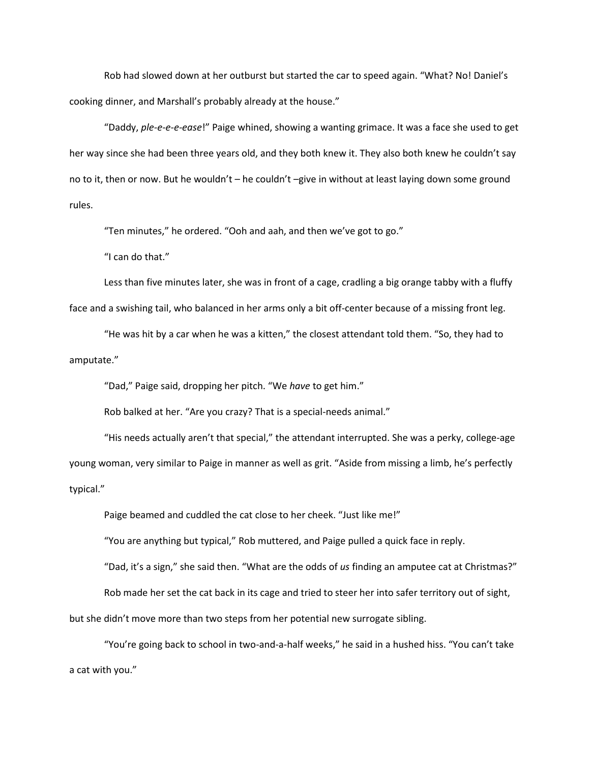Rob had slowed down at her outburst but started the car to speed again. "What? No! Daniel's cooking dinner, and Marshall's probably already at the house."

"Daddy, *ple-e-e-e-ease*!" Paige whined, showing a wanting grimace. It was a face she used to get her way since she had been three years old, and they both knew it. They also both knew he couldn't say no to it, then or now. But he wouldn't – he couldn't –give in without at least laying down some ground rules.

"Ten minutes," he ordered. "Ooh and aah, and then we've got to go."

"I can do that."

Less than five minutes later, she was in front of a cage, cradling a big orange tabby with a fluffy face and a swishing tail, who balanced in her arms only a bit off-center because of a missing front leg.

"He was hit by a car when he was a kitten," the closest attendant told them. "So, they had to amputate."

"Dad," Paige said, dropping her pitch. "We *have* to get him."

Rob balked at her. "Are you crazy? That is a special-needs animal."

"His needs actually aren't that special," the attendant interrupted. She was a perky, college-age young woman, very similar to Paige in manner as well as grit. "Aside from missing a limb, he's perfectly typical."

Paige beamed and cuddled the cat close to her cheek. "Just like me!"

"You are anything but typical," Rob muttered, and Paige pulled a quick face in reply.

"Dad, it's a sign," she said then. "What are the odds of *us* finding an amputee cat at Christmas?"

Rob made her set the cat back in its cage and tried to steer her into safer territory out of sight,

but she didn't move more than two steps from her potential new surrogate sibling.

"You're going back to school in two-and-a-half weeks," he said in a hushed hiss. "You can't take a cat with you."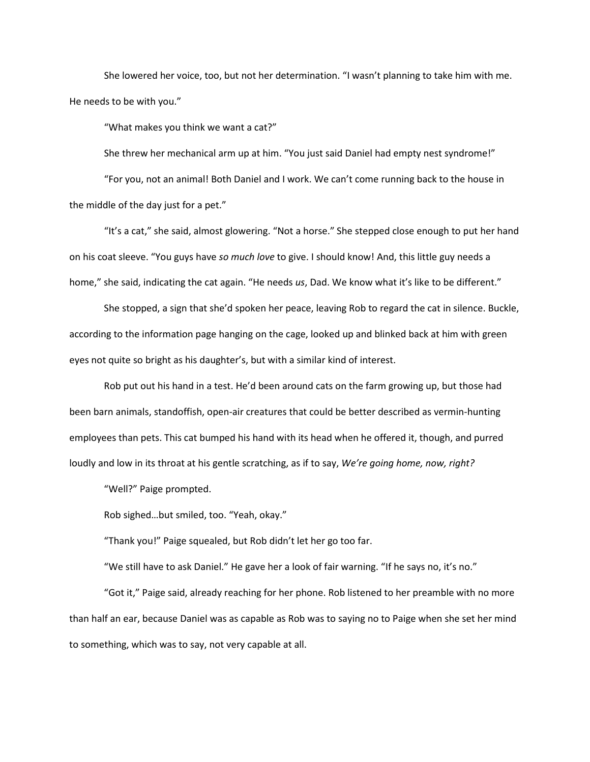She lowered her voice, too, but not her determination. "I wasn't planning to take him with me. He needs to be with you."

"What makes you think we want a cat?"

She threw her mechanical arm up at him. "You just said Daniel had empty nest syndrome!"

"For you, not an animal! Both Daniel and I work. We can't come running back to the house in the middle of the day just for a pet."

"It's a cat," she said, almost glowering. "Not a horse." She stepped close enough to put her hand on his coat sleeve. "You guys have *so much love* to give. I should know! And, this little guy needs a home," she said, indicating the cat again. "He needs *us*, Dad. We know what it's like to be different."

She stopped, a sign that she'd spoken her peace, leaving Rob to regard the cat in silence. Buckle, according to the information page hanging on the cage, looked up and blinked back at him with green eyes not quite so bright as his daughter's, but with a similar kind of interest.

Rob put out his hand in a test. He'd been around cats on the farm growing up, but those had been barn animals, standoffish, open-air creatures that could be better described as vermin-hunting employees than pets. This cat bumped his hand with its head when he offered it, though, and purred loudly and low in its throat at his gentle scratching, as if to say, *We're going home, now, right?*

"Well?" Paige prompted.

Rob sighed…but smiled, too. "Yeah, okay."

"Thank you!" Paige squealed, but Rob didn't let her go too far.

"We still have to ask Daniel." He gave her a look of fair warning. "If he says no, it's no."

"Got it," Paige said, already reaching for her phone. Rob listened to her preamble with no more than half an ear, because Daniel was as capable as Rob was to saying no to Paige when she set her mind to something, which was to say, not very capable at all.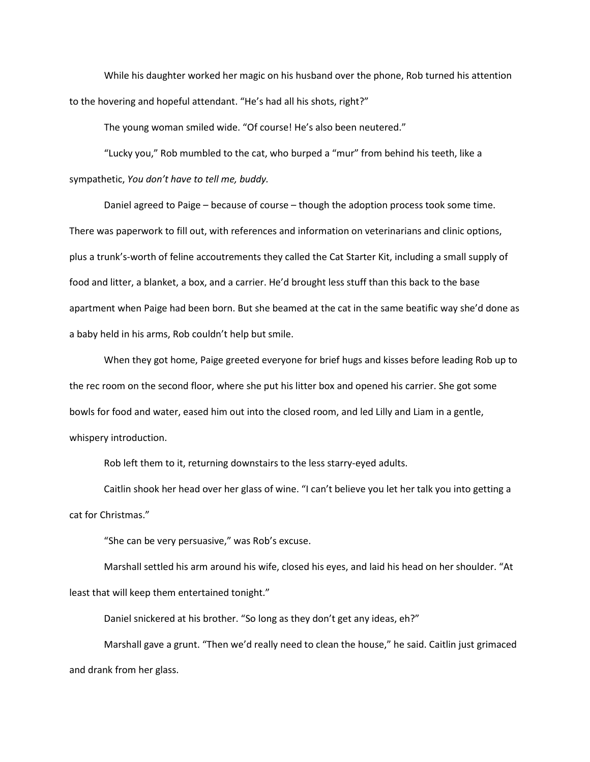While his daughter worked her magic on his husband over the phone, Rob turned his attention to the hovering and hopeful attendant. "He's had all his shots, right?"

The young woman smiled wide. "Of course! He's also been neutered."

"Lucky you," Rob mumbled to the cat, who burped a "mur" from behind his teeth, like a sympathetic, *You don't have to tell me, buddy.*

Daniel agreed to Paige – because of course – though the adoption process took some time. There was paperwork to fill out, with references and information on veterinarians and clinic options, plus a trunk's-worth of feline accoutrements they called the Cat Starter Kit, including a small supply of food and litter, a blanket, a box, and a carrier. He'd brought less stuff than this back to the base apartment when Paige had been born. But she beamed at the cat in the same beatific way she'd done as a baby held in his arms, Rob couldn't help but smile.

When they got home, Paige greeted everyone for brief hugs and kisses before leading Rob up to the rec room on the second floor, where she put his litter box and opened his carrier. She got some bowls for food and water, eased him out into the closed room, and led Lilly and Liam in a gentle, whispery introduction.

Rob left them to it, returning downstairs to the less starry-eyed adults.

Caitlin shook her head over her glass of wine. "I can't believe you let her talk you into getting a cat for Christmas."

"She can be very persuasive," was Rob's excuse.

Marshall settled his arm around his wife, closed his eyes, and laid his head on her shoulder. "At least that will keep them entertained tonight."

Daniel snickered at his brother. "So long as they don't get any ideas, eh?"

Marshall gave a grunt. "Then we'd really need to clean the house," he said. Caitlin just grimaced and drank from her glass.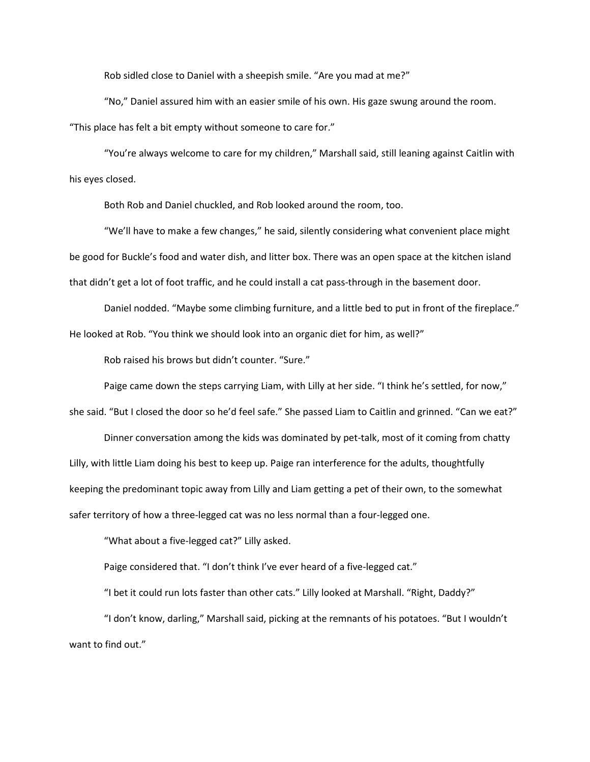Rob sidled close to Daniel with a sheepish smile. "Are you mad at me?"

"No," Daniel assured him with an easier smile of his own. His gaze swung around the room. "This place has felt a bit empty without someone to care for."

"You're always welcome to care for my children," Marshall said, still leaning against Caitlin with his eyes closed.

Both Rob and Daniel chuckled, and Rob looked around the room, too.

"We'll have to make a few changes," he said, silently considering what convenient place might be good for Buckle's food and water dish, and litter box. There was an open space at the kitchen island that didn't get a lot of foot traffic, and he could install a cat pass-through in the basement door.

Daniel nodded. "Maybe some climbing furniture, and a little bed to put in front of the fireplace." He looked at Rob. "You think we should look into an organic diet for him, as well?"

Rob raised his brows but didn't counter. "Sure."

Paige came down the steps carrying Liam, with Lilly at her side. "I think he's settled, for now,"

she said. "But I closed the door so he'd feel safe." She passed Liam to Caitlin and grinned. "Can we eat?"

Dinner conversation among the kids was dominated by pet-talk, most of it coming from chatty Lilly, with little Liam doing his best to keep up. Paige ran interference for the adults, thoughtfully keeping the predominant topic away from Lilly and Liam getting a pet of their own, to the somewhat safer territory of how a three-legged cat was no less normal than a four-legged one.

"What about a five-legged cat?" Lilly asked.

Paige considered that. "I don't think I've ever heard of a five-legged cat."

"I bet it could run lots faster than other cats." Lilly looked at Marshall. "Right, Daddy?"

"I don't know, darling," Marshall said, picking at the remnants of his potatoes. "But I wouldn't want to find out."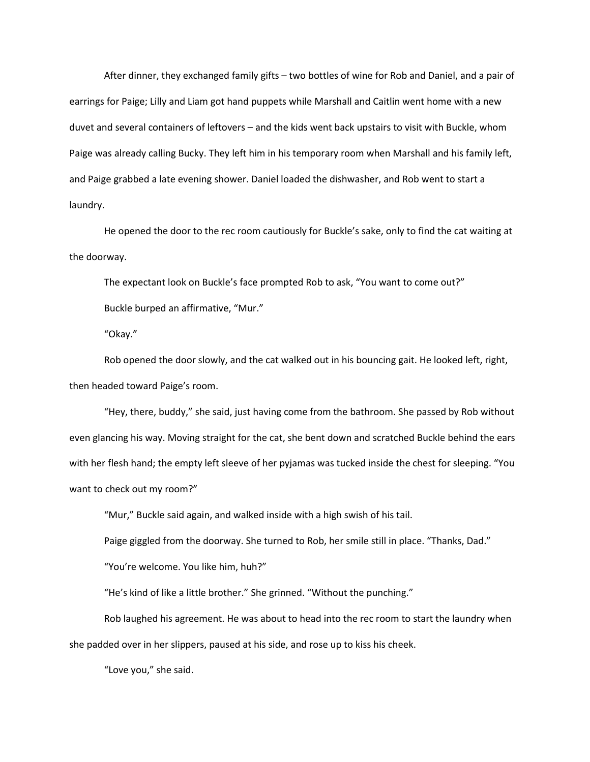After dinner, they exchanged family gifts – two bottles of wine for Rob and Daniel, and a pair of earrings for Paige; Lilly and Liam got hand puppets while Marshall and Caitlin went home with a new duvet and several containers of leftovers – and the kids went back upstairs to visit with Buckle, whom Paige was already calling Bucky. They left him in his temporary room when Marshall and his family left, and Paige grabbed a late evening shower. Daniel loaded the dishwasher, and Rob went to start a laundry.

He opened the door to the rec room cautiously for Buckle's sake, only to find the cat waiting at the doorway.

The expectant look on Buckle's face prompted Rob to ask, "You want to come out?"

Buckle burped an affirmative, "Mur."

"Okay."

Rob opened the door slowly, and the cat walked out in his bouncing gait. He looked left, right, then headed toward Paige's room.

"Hey, there, buddy," she said, just having come from the bathroom. She passed by Rob without even glancing his way. Moving straight for the cat, she bent down and scratched Buckle behind the ears with her flesh hand; the empty left sleeve of her pyjamas was tucked inside the chest for sleeping. "You want to check out my room?"

"Mur," Buckle said again, and walked inside with a high swish of his tail.

Paige giggled from the doorway. She turned to Rob, her smile still in place. "Thanks, Dad."

"You're welcome. You like him, huh?"

"He's kind of like a little brother." She grinned. "Without the punching."

Rob laughed his agreement. He was about to head into the rec room to start the laundry when she padded over in her slippers, paused at his side, and rose up to kiss his cheek.

"Love you," she said.